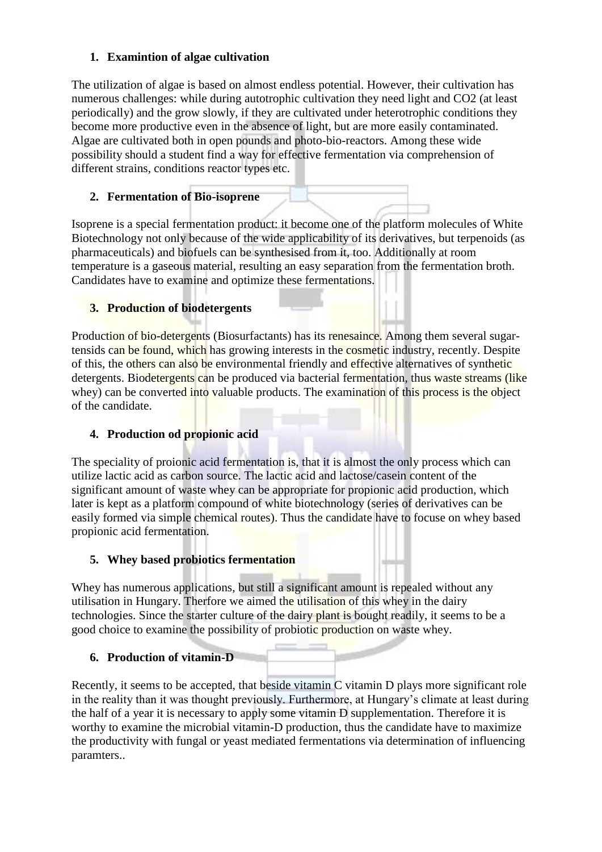## **1. Examintion of algae cultivation**

The utilization of algae is based on almost endless potential. However, their cultivation has numerous challenges: while during autotrophic cultivation they need light and CO2 (at least periodically) and the grow slowly, if they are cultivated under heterotrophic conditions they become more productive even in the absence of light, but are more easily contaminated. Algae are cultivated both in open pounds and photo-bio-reactors. Among these wide possibility should a student find a way for effective fermentation via comprehension of different strains, conditions reactor types etc.

## **2. Fermentation of Bio-isoprene**

Isoprene is a special fermentation product: it become one of the platform molecules of White Biotechnology not only because of the wide applicability of its derivatives, but terpenoids (as pharmaceuticals) and biofuels can be synthesised from it, too. Additionally at room temperature is a gaseous material, resulting an easy separation from the fermentation broth. Candidates have to examine and optimize these fermentations.

# **3. Production of biodetergents**

Production of bio-detergents (Biosurfactants) has its renesaince. Among them several sugartensids can be found, which has growing interests in the cosmetic industry, recently. Despite of this, the others can also be environmental friendly and effective alternatives of synthetic detergents. Biodetergents can be produced via bacterial fermentation, thus waste streams (like whey) can be converted into valuable products. The examination of this process is the object of the candidate.

## **4. Production od propionic acid**

The speciality of proionic acid fermentation is, that it is almost the only process which can utilize lactic acid as carbon source. The lactic acid and lactose/casein content of the significant amount of waste whey can be appropriate for propionic acid production, which later is kept as a platform compound of white biotechnology (series of derivatives can be easily formed via simple chemical routes). Thus the candidate have to focuse on whey based propionic acid fermentation.

## **5. Whey based probiotics fermentation**

Whey has numerous applications, but still a significant amount is repealed without any utilisation in Hungary. Therfore we aimed the utilisation of this whey in the dairy technologies. Since the starter culture of the dairy plant is bought readily, it seems to be a good choice to examine the possibility of probiotic production on waste whey.

## **6. Production of vitamin-D**

Recently, it seems to be accepted, that beside vitamin C vitamin D plays more significant role in the reality than it was thought previously. Furthermore, at Hungary's climate at least during the half of a year it is necessary to apply some vitamin D supplementation. Therefore it is worthy to examine the microbial vitamin-D production, thus the candidate have to maximize the productivity with fungal or yeast mediated fermentations via determination of influencing paramters..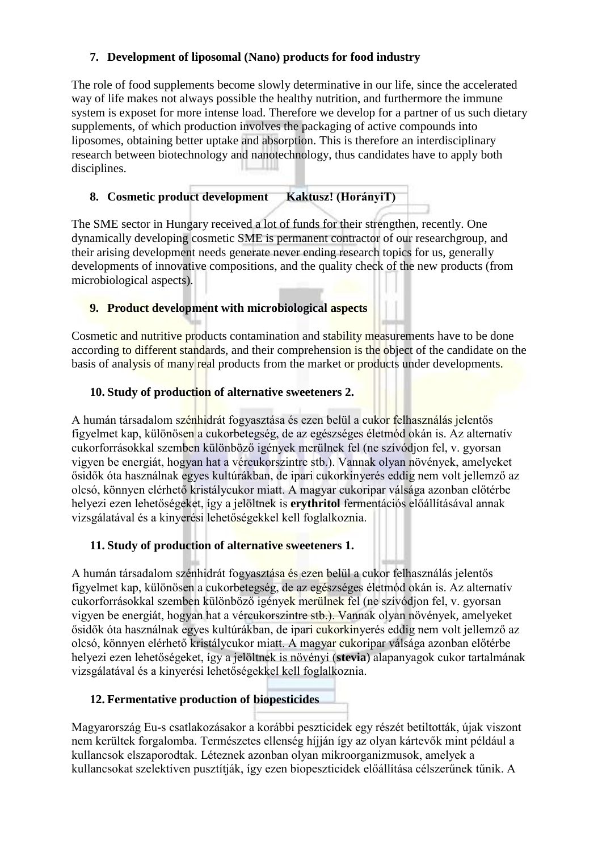## **7. Development of liposomal (Nano) products for food industry**

The role of food supplements become slowly determinative in our life, since the accelerated way of life makes not always possible the healthy nutrition, and furthermore the immune system is exposet for more intense load. Therefore we develop for a partner of us such dietary supplements, of which production involves the packaging of active compounds into liposomes, obtaining better uptake and absorption. This is therefore an interdisciplinary research between biotechnology and nanotechnology, thus candidates have to apply both disciplines.

## **8. Cosmetic product development Kaktusz! (HorányiT)**

The SME sector in Hungary received a lot of funds for their strengthen, recently. One dynamically developing cosmetic SME is permanent contractor of our researchgroup, and their arising development needs generate never ending research topics for us, generally developments of innovative compositions, and the quality check of the new products (from microbiological aspects).

## **9. Product development with microbiological aspects**

Cosmetic and nutritive products contamination and stability measurements have to be done according to different standards, and their comprehension is the object of the candidate on the basis of analysis of many real products from the market or products under developments.

## **10. Study of production of alternative sweeteners 2.**

A humán társadalom szénhidrát fogyasztása és ezen belül a cukor felhasználás jelentős figyelmet kap, különösen a cukorbetegség, de az egészséges életmód okán is. Az alternatív cukorforrásokkal szemben különböző igények merülnek fel (ne szívódjon fel, v. gyorsan vigyen be energiát, hogyan hat a vércukorszintre stb.). Vannak olyan növények, amelyeket ősidők óta használnak egyes kultúrákban, de ipari cukorkinyerés eddig nem volt jellemző az olcsó, könnyen elérhető kristálycukor miatt. A magyar cukoripar válsága azonban előtérbe helyezi ezen lehetőségeket, így a jelöltnek is **erythritol** fermentációs előállításával annak vizsgálatával és a kinyerési lehetőségekkel kell foglalkoznia.

## **11. Study of production of alternative sweeteners 1.**

A humán társadalom szénhidrát fogyasztása és ezen belül a cukor felhasználás jelentős figyelmet kap, különösen a cukorbetegség, de az egészséges életmód okán is. Az alternatív cukorforrásokkal szemben különböző igények merülnek fel (ne szívódjon fel, v. gyorsan vigyen be energiát, hogyan hat a vércukorszintre stb.). Vannak olyan növények, amelyeket ősidők óta használnak egyes kultúrákban, de ipari cukorkinyerés eddig nem volt jellemző az olcsó, könnyen elérhető kristálycukor miatt. A magyar cukoripar válsága azonban előtérbe helyezi ezen lehetőségeket, így a jelöltnek is növényi (**stevia**) alapanyagok cukor tartalmának vizsgálatával és a kinyerési lehetőségekkel kell foglalkoznia.

## **12. Fermentative production of biopesticides**

Magyarország Eu-s csatlakozásakor a korábbi peszticidek egy részét betiltották, újak viszont nem kerültek forgalomba. Természetes ellenség híjján így az olyan kártevők mint például a kullancsok elszaporodtak. Léteznek azonban olyan mikroorganizmusok, amelyek a kullancsokat szelektíven pusztítják, így ezen biopeszticidek előállítása célszerűnek tűnik. A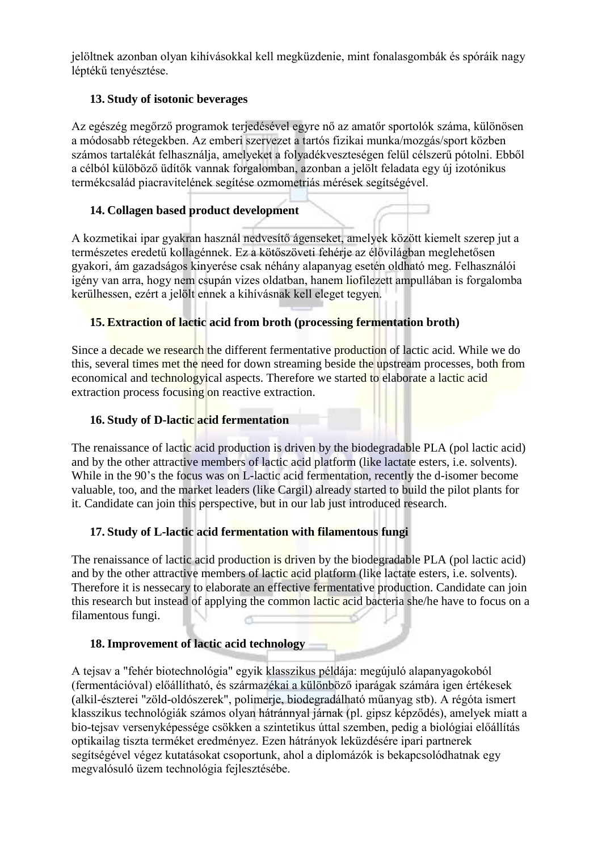jelöltnek azonban olyan kihívásokkal kell megküzdenie, mint fonalasgombák és spóráik nagy léptékű tenyésztése.

## **13. Study of isotonic beverages**

Az egészég megőrző programok terjedésével egyre nő az amatőr sportolók száma, különösen a módosabb rétegekben. Az emberi szervezet a tartós fizikai munka/mozgás/sport közben számos tartalékát felhasználja, amelyeket a folyadékveszteségen felül célszerű pótolni. Ebből a célból külöböző üdítők vannak forgalomban, azonban a jelölt feladata egy új izotónikus termékcsalád piacravitelének segítése ozmometriás mérések segítségével.

# **14. Collagen based product development**

A kozmetikai ipar gyakran használ nedvesítő ágenseket, amelyek között kiemelt szerep jut a természetes eredetű kollagénnek. Ez a kötőszöveti fehérje az élővilágban meglehetősen gyakori, ám gazadságos kinyerése csak néhány alapanyag esetén oldható meg. Felhasználói igény van arra, hogy nem csupán vizes oldatban, hanem liofilezett ampullában is forgalomba kerülhessen, ezért a jelölt ennek a kihívásnak kell eleget tegyen.

## **15. Extraction of lactic acid from broth (processing fermentation broth)**

Since a decade we research the different fermentative production of lactic acid. While we do this, several times met the need for down streaming beside the upstream processes, both from economical and technologyical aspects. Therefore we started to elaborate a lactic acid extraction process focusing on reactive extraction.

### **16. Study of D-lactic acid fermentation**

The renaissance of lactic acid production is driven by the biodegradable PLA (pol lactic acid) and by the other attractive members of lactic acid platform (like lactate esters, i.e. solvents). While in the 90's the focus was on L-lactic acid fermentation, recently the d-isomer become valuable, too, and the market leaders (like Cargil) already started to build the pilot plants for it. Candidate can join this perspective, but in our lab just introduced research.

## **17. Study of L-lactic acid fermentation with filamentous fungi**

The renaissance of lactic acid production is driven by the biodegradable PLA (pol lactic acid) and by the other attractive members of lactic acid platform (like lactate esters, i.e. solvents). Therefore it is nessecary to elaborate an effective fermentative production. Candidate can join this research but instead of applying the common lactic acid bacteria she/he have to focus on a filamentous fungi.

### **18. Improvement of lactic acid technology**

A tejsav a "fehér biotechnológia" egyik klasszikus példája: megújuló alapanyagokoból (fermentációval) előállítható, és származékai a különböző iparágak számára igen értékesek (alkil-észterei "zöld-oldószerek", polimerje, biodegradálható műanyag stb). A régóta ismert klasszikus technológiák számos olyan hátránnyal járnak (pl. gipsz képződés), amelyek miatt a bio-tejsav versenyképessége csökken a szintetikus úttal szemben, pedig a biológiai előállítás optikailag tiszta terméket eredményez. Ezen hátrányok leküzdésére ipari partnerek segítségével végez kutatásokat csoportunk, ahol a diplomázók is bekapcsolódhatnak egy megvalósuló üzem technológia fejlesztésébe.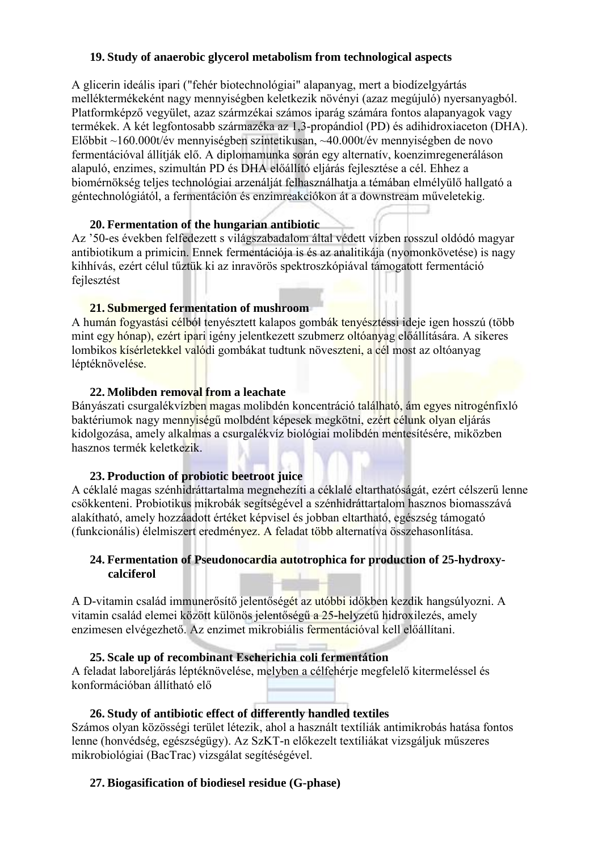### **19. Study of anaerobic glycerol metabolism from technological aspects**

A glicerin ideális ipari ("fehér biotechnológiai" alapanyag, mert a biodízelgyártás melléktermékeként nagy mennyiségben keletkezik növényi (azaz megújuló) nyersanyagból. Platformképző vegyület, azaz szármzékai számos iparág számára fontos alapanyagok vagy termékek. A két legfontosabb származéka az 1,3-propándiol (PD) és adihidroxiaceton (DHA). Előbbit ~160.000t/év mennyiségben szintetikusan, ~40.000t/év mennyiségben de novo fermentációval állítják elő. A diplomamunka során egy alternatív, koenzimregeneráláson alapuló, enzimes, szimultán PD és DHA előállító eljárás fejlesztése a cél. Ehhez a biomérnökség teljes technológiai arzenálját felhasználhatja a témában elmélyülő hallgató a géntechnológiától, a fermentáción és enzimreakciókon át a downstream műveletekig.

### **20. Fermentation of the hungarian antibiotic**

Az '50-es években felfedezett s világszabadalom által védett vízben rosszul oldódó magyar antibiotikum a primicin. Ennek fermentációja is és az analitikája (nyomonkövetése) is nagy kihhívás, ezért célul tűztük ki az inravörös spektroszkópiával támogatott fermentáció fejlesztést

### **21. Submerged fermentation of mushroom**

A humán fogyastási célból tenyésztett kalapos gombák tenyésztéssi ideje igen hosszú (több mint egy hónap), ezért ipari igény jelentkezett szubmerz oltóanyag előállítására. A sikeres lombikos kísérletekkel valódi gombákat tudtunk növeszteni, a cél most az oltóanyag léptéknövelése.

### **22. Molibden removal from a leachate**

Bányászati csurgalékvízben magas molibdén koncentráció található, ám egyes nitrogénfixló baktériumok nagy mennyiségű molbdént képesek megkötni, ezért célunk olyan eljárás kidolgozása, amely alkalmas a csurgalékvíz biológiai molibdén mentesítésére, miközben hasznos termék keletkezik.

## **23. Production of probiotic beetroot juice**

A céklalé magas szénhidráttartalma megnehezíti a céklalé eltarthatóságát, ezért célszerű lenne csökkenteni. Probiotikus mikrobák segítségével a szénhidráttartalom hasznos biomasszává alakítható, amely hozzáadott értéket képvisel és jobban eltartható, egészség támogató (funkcionális) élelmiszert eredményez. A feladat több alternatíva összehasonlítása.

### **24. Fermentation of Pseudonocardia autotrophica for production of 25-hydroxycalciferol**

A D-vitamin család immunerősítő jelentőségét az utóbbi időkben kezdik hangsúlyozni. A vitamin család elemei között különös jelentőségű a 25-helyzetű hidroxilezés, amely enzimesen elvégezhető. Az enzimet mikrobiális fermentációval kell előállítani.

### **25. Scale up of recombinant Escherichia coli fermentátion**

A feladat laboreljárás léptéknövelése, melyben a célfehérje megfelelő kitermeléssel és konformációban állítható elő

## **26. Study of antibiotic effect of differently handled textiles**

Számos olyan közösségi terület létezik, ahol a használt textíliák antimikrobás hatása fontos lenne (honvédség, egészségügy). Az SzKT-n előkezelt textíliákat vizsgáljuk műszeres mikrobiológiai (BacTrac) vizsgálat segítéségével.

## **27. Biogasification of biodiesel residue (G-phase)**